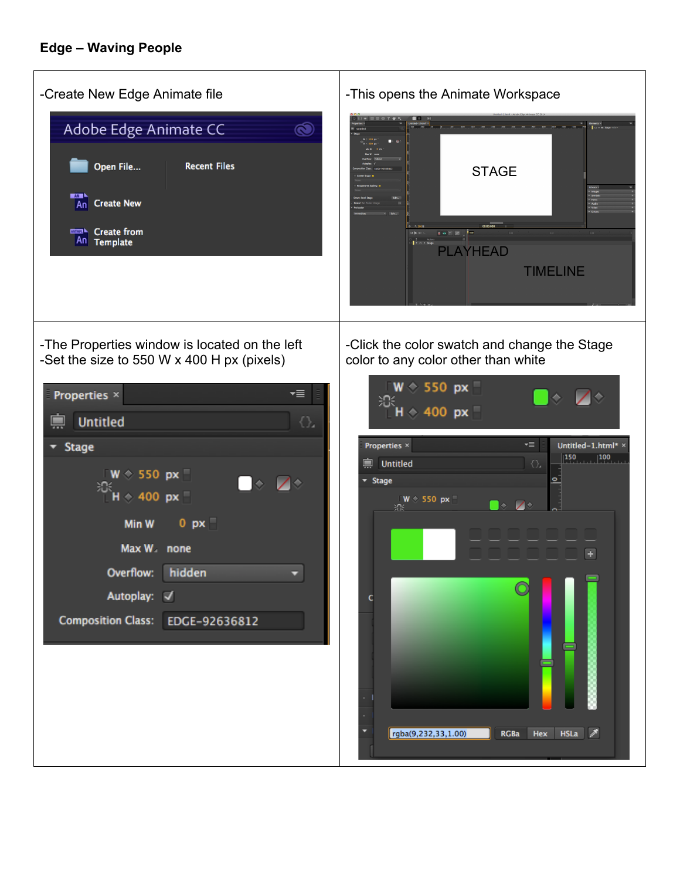| -Create New Edge Animate file                                                                                                                                                                                                                                                                                                                                      | -This opens the Animate Workspace                                                                                                                                                                                                                                 |  |  |  |
|--------------------------------------------------------------------------------------------------------------------------------------------------------------------------------------------------------------------------------------------------------------------------------------------------------------------------------------------------------------------|-------------------------------------------------------------------------------------------------------------------------------------------------------------------------------------------------------------------------------------------------------------------|--|--|--|
| Adobe Edge Animate CC<br>$\bullet$<br>Open File<br><b>Recent Files</b><br>AN <sub>1</sub><br><b>Create New</b><br>An<br><b>ENGINEERING</b> Create from<br>An Template                                                                                                                                                                                              | <b>STAGE</b><br>$0 = 7$<br>$\begin{array}{c} 1 \\ \hline \end{array}$ $\circ$ $\cdot$ Stage<br>PLAYHEAD<br><b>TIMELINE</b>                                                                                                                                        |  |  |  |
| -The Properties window is located on the left                                                                                                                                                                                                                                                                                                                      | -Click the color swatch and change the Stage                                                                                                                                                                                                                      |  |  |  |
| -Set the size to 550 W x 400 H px (pixels)<br>▼≣<br>Properties ×<br><b>Untitled</b><br>Đ,<br>드<br>v Stage<br>$\sqrt{W}$ $\Diamond$ 550 px $\Box$<br>$\begin{array}{c} \square \diamond & \square \diamond \end{array}$<br>$\frac{100}{100}$ H $\div$ 400 px<br>0 p x<br>Min W<br>Max W none<br>Overflow: hidden<br>Autoplay: V<br>Composition Class: EDGE-92636812 | color to any color other than white<br>$W \circ 550$ px<br>ж<br>$H \diamond 400$ px<br>Properties ×<br>"≣<br>Untitled-1.html*<br>$ 150\rangle$<br> 100 <br><b>Untitled</b><br>禀<br>₹Ъ<br>v Stage<br>$W \circ 550$ px<br>$\diamond$ 70<br>₩<br>$\overline{+}$<br>c |  |  |  |
|                                                                                                                                                                                                                                                                                                                                                                    | $HSLA$ $\mathscr{P}$<br>rgba(9,232,33,1.00)<br><b>Hex</b><br><b>RGBa</b>                                                                                                                                                                                          |  |  |  |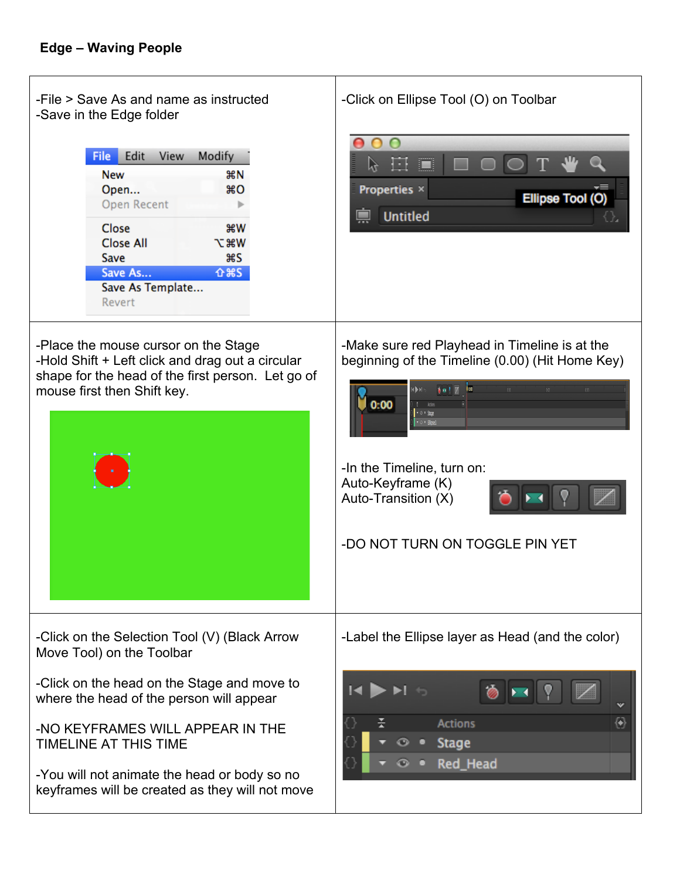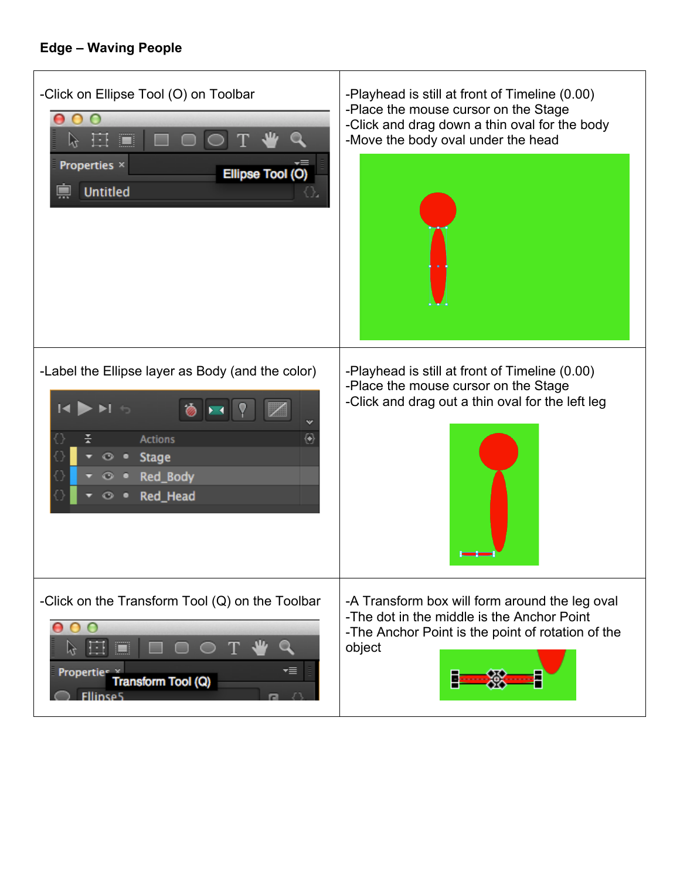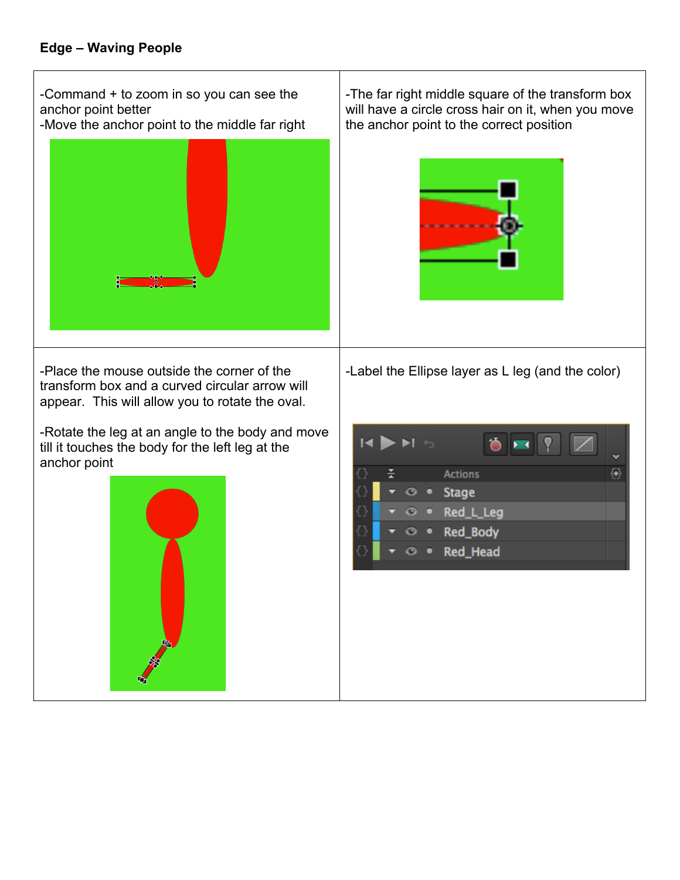-Command + to zoom in so you can see the anchor point better

-Move the anchor point to the middle far right



-Place the mouse outside the corner of the transform box and a curved circular arrow will appear. This will allow you to rotate the oval.

-Rotate the leg at an angle to the body and move till it touches the body for the left leg at the anchor point



-The far right middle square of the transform box will have a circle cross hair on it, when you move the anchor point to the correct position



-Label the Ellipse layer as L leg (and the color)

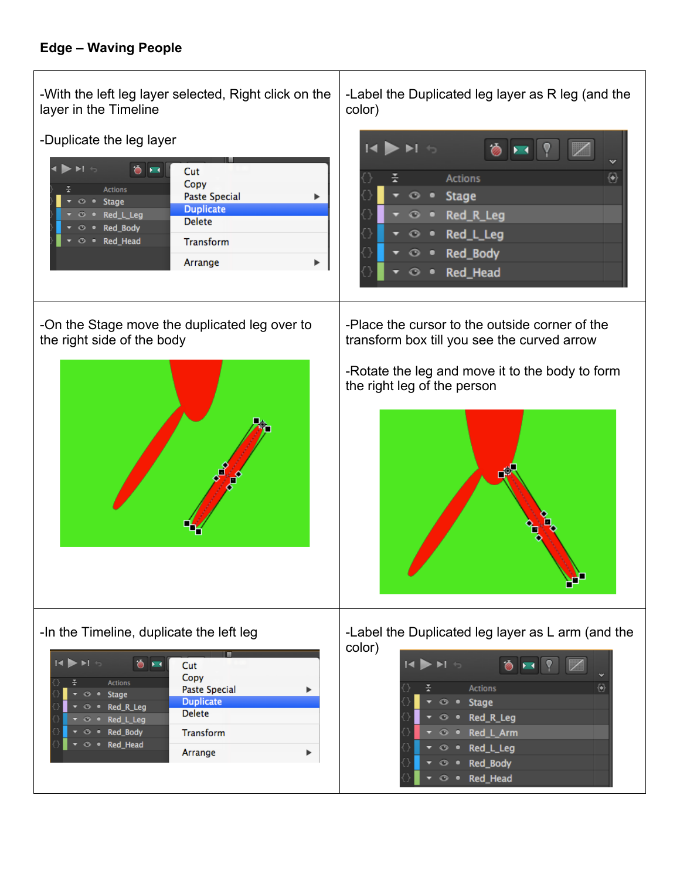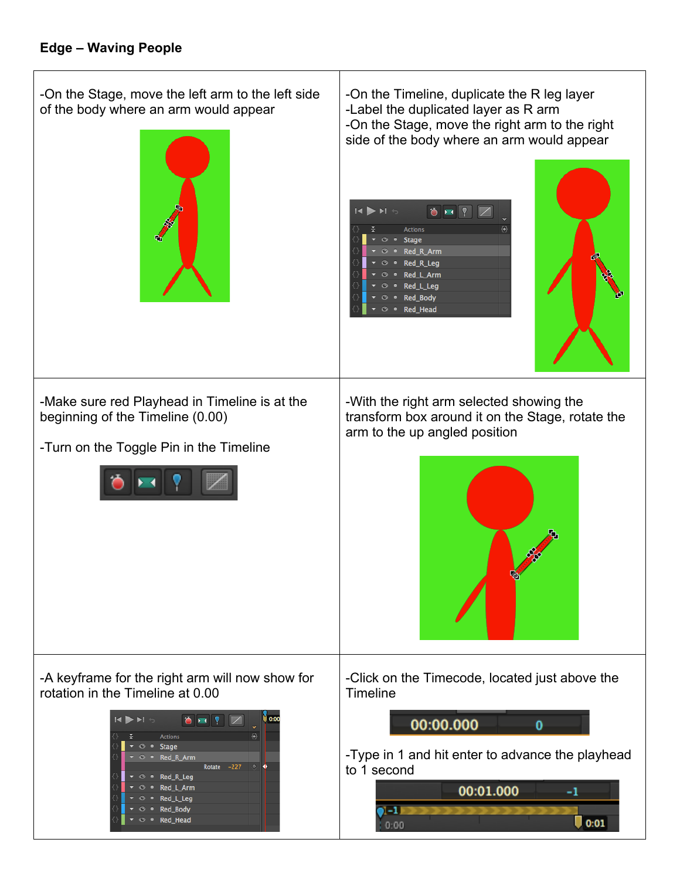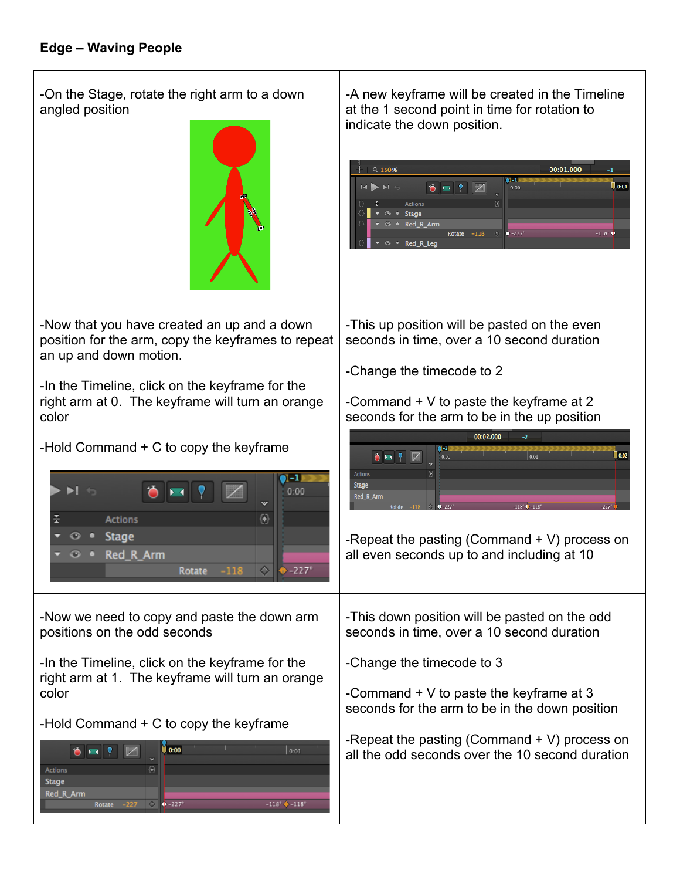-On the Stage, rotate the right arm to a down angled position



-Now that you have created an up and a down position for the arm, copy the keyframes to repeat an up and down motion.

-In the Timeline, click on the keyframe for the right arm at 0. The keyframe will turn an orange color

-Hold Command + C to copy the keyframe



-Now we need to copy and paste the down arm positions on the odd seconds

-In the Timeline, click on the keyframe for the right arm at 1. The keyframe will turn an orange color

-Hold Command + C to copy the keyframe

| <b>HING</b><br><b>ABSIS</b> |                         | 0:00<br>0:01                             |
|-----------------------------|-------------------------|------------------------------------------|
|                             | $\overline{\mathbf{v}}$ |                                          |
| <b>Actions</b>              | Θ                       |                                          |
| <b>Stage</b>                |                         |                                          |
| Red R Arm                   |                         |                                          |
| $-227$<br>Rotate            |                         | $-118^{\circ}$ $-118^{\circ}$<br>$+227°$ |

-A new keyframe will be created in the Timeline at the 1 second point in time for rotation to indicate the down position.

| ♣ |                                                                   | $Q$ 150% |   |                |               |        |                         |            | 00:01.000 | -1                  |
|---|-------------------------------------------------------------------|----------|---|----------------|---------------|--------|-------------------------|------------|-----------|---------------------|
|   |                                                                   |          |   |                |               |        |                         |            |           |                     |
|   | $14$ $\blacktriangleright$ $\blacktriangleright$ $1$ $\heartsuit$ |          |   |                |               | 脚      | $\overline{\mathbf{v}}$ | đ۴<br>0:00 |           | 0:01                |
|   | 픗                                                                 |          |   | <b>Actions</b> |               |        | Đ                       |            |           |                     |
|   |                                                                   | ⊙        | ٠ | <b>Stage</b>   |               |        |                         |            |           |                     |
| ⇔ |                                                                   |          |   | ⊙ • Red R Arm  |               |        |                         |            |           |                     |
|   |                                                                   |          |   |                | <b>Rotate</b> | $-118$ | V.                      | $+227$ °   |           | $-118$ <sup>*</sup> |
|   |                                                                   | $\odot$  | ٠ | Red_R_Leg      |               |        |                         |            |           |                     |

-This up position will be pasted on the even seconds in time, over a 10 second duration

-Change the timecode to 2

-Command  $+V$  to paste the keyframe at 2 seconds for the arm to be in the up position

|                  |                                        | 00:02.000<br>$-2$ |      |                     |
|------------------|----------------------------------------|-------------------|------|---------------------|
| <b>BBP</b>       | $1-21$<br>0:00<br>$\ddot{v}$           |                   | 0:01 | 0:02                |
| <b>Actions</b>   | $\overline{\Theta}$                    |                   |      |                     |
| <b>Stage</b>     |                                        |                   |      |                     |
| Red_R_Arm        |                                        |                   |      |                     |
| $-118$<br>Rotate | $\Diamond$ $\bullet$ -227 <sup>6</sup> | $-118'$ $-118'$   |      | $-227$ <sup>*</sup> |

-Repeat the pasting (Command + V) process on all even seconds up to and including at 10

-This down position will be pasted on the odd seconds in time, over a 10 second duration

-Change the timecode to 3

-Command  $+$  V to paste the keyframe at 3 seconds for the arm to be in the down position

-Repeat the pasting (Command + V) process on all the odd seconds over the 10 second duration